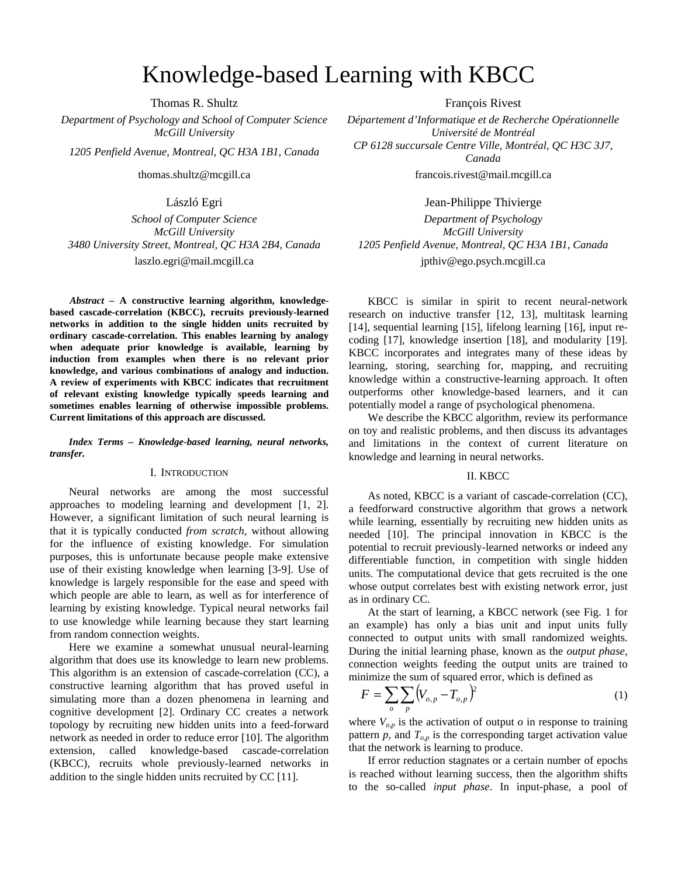# Knowledge-based Learning with KBCC

Thomas R. Shultz François Rivest

*Department of Psychology and School of Computer Science McGill University* 

*School of Computer Science McGill University 3480 University Street, Montreal, QC H3A 2B4, Canada 1205 Penfield Avenue, Montreal, QC H3A 1B1, Canada*  laszlo.egri@mail.mcgill.ca jpthiv@ego.psych.mcgill.ca

*Abstract* **– A constructive learning algorithm, knowledgebased cascade-correlation (KBCC), recruits previously-learned networks in addition to the single hidden units recruited by ordinary cascade-correlation. This enables learning by analogy when adequate prior knowledge is available, learning by induction from examples when there is no relevant prior knowledge, and various combinations of analogy and induction. A review of experiments with KBCC indicates that recruitment of relevant existing knowledge typically speeds learning and sometimes enables learning of otherwise impossible problems. Current limitations of this approach are discussed.** 

*Index Terms – Knowledge-based learning, neural networks, transfer.* 

#### I. INTRODUCTION

 Neural networks are among the most successful approaches to modeling learning and development [1, 2]. However, a significant limitation of such neural learning is that it is typically conducted *from scratch*, without allowing for the influence of existing knowledge. For simulation purposes, this is unfortunate because people make extensive use of their existing knowledge when learning [3-9]. Use of knowledge is largely responsible for the ease and speed with which people are able to learn, as well as for interference of learning by existing knowledge. Typical neural networks fail to use knowledge while learning because they start learning from random connection weights.

Here we examine a somewhat unusual neural-learning algorithm that does use its knowledge to learn new problems. This algorithm is an extension of cascade-correlation (CC), a constructive learning algorithm that has proved useful in simulating more than a dozen phenomena in learning and cognitive development [2]. Ordinary CC creates a network topology by recruiting new hidden units into a feed-forward network as needed in order to reduce error [10]. The algorithm extension, called knowledge-based cascade-correlation (KBCC), recruits whole previously-learned networks in addition to the single hidden units recruited by CC [11].

*Département d'Informatique et de Recherche Opérationnelle Université de Montréal 1205 Penfield Avenue, Montreal, QC H3A 1B1, Canada CP 6128 succursale Centre Ville, Montréal, QC H3C 3J7, Canada*  thomas.shultz@mcgill.ca francois.rivest@mail.mcgill.ca

> László Egri Jean-Philippe Thivierge *Department of Psychology*

*McGill University* 

KBCC is similar in spirit to recent neural-network research on inductive transfer [12, 13], multitask learning [14], sequential learning [15], lifelong learning [16], input recoding [17], knowledge insertion [18], and modularity [19]. KBCC incorporates and integrates many of these ideas by learning, storing, searching for, mapping, and recruiting knowledge within a constructive-learning approach. It often outperforms other knowledge-based learners, and it can potentially model a range of psychological phenomena.

We describe the KBCC algorithm, review its performance on toy and realistic problems, and then discuss its advantages and limitations in the context of current literature on knowledge and learning in neural networks.

### II. KBCC

As noted, KBCC is a variant of cascade-correlation (CC), a feedforward constructive algorithm that grows a network while learning, essentially by recruiting new hidden units as needed [10]. The principal innovation in KBCC is the potential to recruit previously-learned networks or indeed any differentiable function, in competition with single hidden units. The computational device that gets recruited is the one whose output correlates best with existing network error, just as in ordinary CC.

 At the start of learning, a KBCC network (see Fig. 1 for an example) has only a bias unit and input units fully connected to output units with small randomized weights. During the initial learning phase, known as the *output phase*, connection weights feeding the output units are trained to minimize the sum of squared error, which is defined as

$$
F = \sum_{o} \sum_{p} (V_{o,p} - T_{o,p})^2
$$
 (1)

where  $V_{o,p}$  is the activation of output  $o$  in response to training pattern  $p$ , and  $T_{o,p}$  is the corresponding target activation value that the network is learning to produce.

If error reduction stagnates or a certain number of epochs is reached without learning success, then the algorithm shifts to the so-called *input phase*. In input-phase, a pool of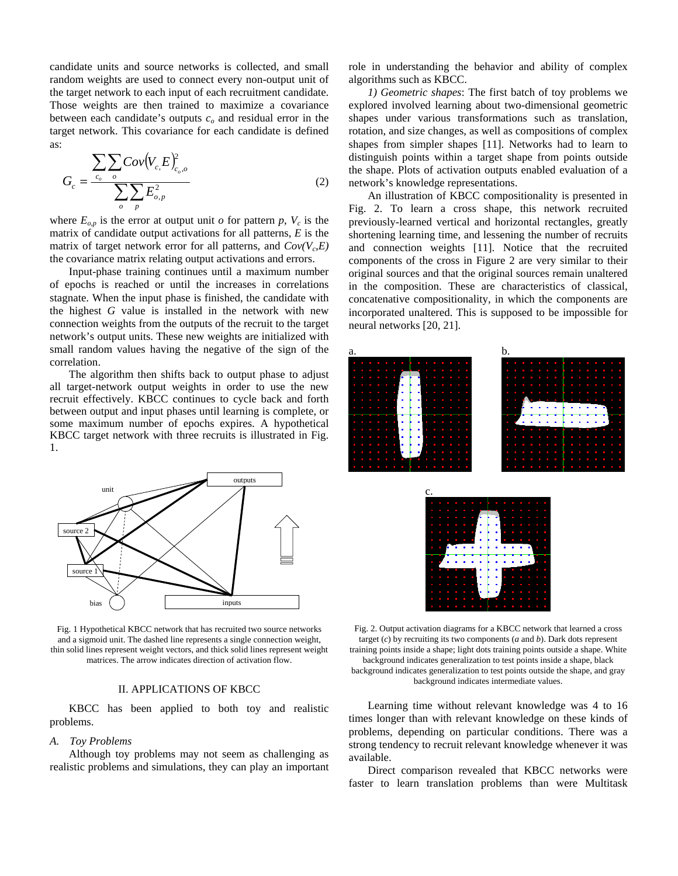candidate units and source networks is collected, and small random weights are used to connect every non-output unit of the target network to each input of each recruitment candidate. Those weights are then trained to maximize a covariance between each candidate's outputs  $c<sub>o</sub>$  and residual error in the target network. This covariance for each candidate is defined as:

$$
G_c = \frac{\sum_{c_o} \sum_o Cov(V_{c, E})^2_{c_o, o}}{\sum_o \sum_p E^2_{o, p}}
$$
 (2)

where  $E_{o,p}$  is the error at output unit *o* for pattern *p*,  $V_c$  is the matrix of candidate output activations for all patterns, *E* is the matrix of target network error for all patterns, and  $Cov(V<sub>c</sub>, E)$ the covariance matrix relating output activations and errors.

Input-phase training continues until a maximum number of epochs is reached or until the increases in correlations stagnate. When the input phase is finished, the candidate with the highest *G* value is installed in the network with new connection weights from the outputs of the recruit to the target network's output units. These new weights are initialized with small random values having the negative of the sign of the correlation.

The algorithm then shifts back to output phase to adjust all target-network output weights in order to use the new recruit effectively. KBCC continues to cycle back and forth between output and input phases until learning is complete, or some maximum number of epochs expires. A hypothetical KBCC target network with three recruits is illustrated in Fig. 1.



Fig. 1 Hypothetical KBCC network that has recruited two source networks and a sigmoid unit. The dashed line represents a single connection weight, thin solid lines represent weight vectors, and thick solid lines represent weight matrices. The arrow indicates direction of activation flow.

#### II. APPLICATIONS OF KBCC

KBCC has been applied to both toy and realistic problems.

#### *A. Toy Problems*

Although toy problems may not seem as challenging as realistic problems and simulations, they can play an important role in understanding the behavior and ability of complex algorithms such as KBCC.

*1) Geometric shapes*: The first batch of toy problems we explored involved learning about two-dimensional geometric shapes under various transformations such as translation, rotation, and size changes, as well as compositions of complex shapes from simpler shapes [11]. Networks had to learn to distinguish points within a target shape from points outside the shape. Plots of activation outputs enabled evaluation of a network's knowledge representations.

An illustration of KBCC compositionality is presented in Fig. 2. To learn a cross shape, this network recruited previously-learned vertical and horizontal rectangles, greatly shortening learning time, and lessening the number of recruits and connection weights [11]. Notice that the recruited components of the cross in Figure 2 are very similar to their original sources and that the original sources remain unaltered in the composition. These are characteristics of classical, concatenative compositionality, in which the components are incorporated unaltered. This is supposed to be impossible for neural networks [20, 21].



Fig. 2. Output activation diagrams for a KBCC network that learned a cross target (*c*) by recruiting its two components (*a* and *b*). Dark dots represent training points inside a shape; light dots training points outside a shape. White background indicates generalization to test points inside a shape, black background indicates generalization to test points outside the shape, and gray background indicates intermediate values.

Learning time without relevant knowledge was 4 to 16 times longer than with relevant knowledge on these kinds of problems, depending on particular conditions. There was a strong tendency to recruit relevant knowledge whenever it was available.

Direct comparison revealed that KBCC networks were faster to learn translation problems than were Multitask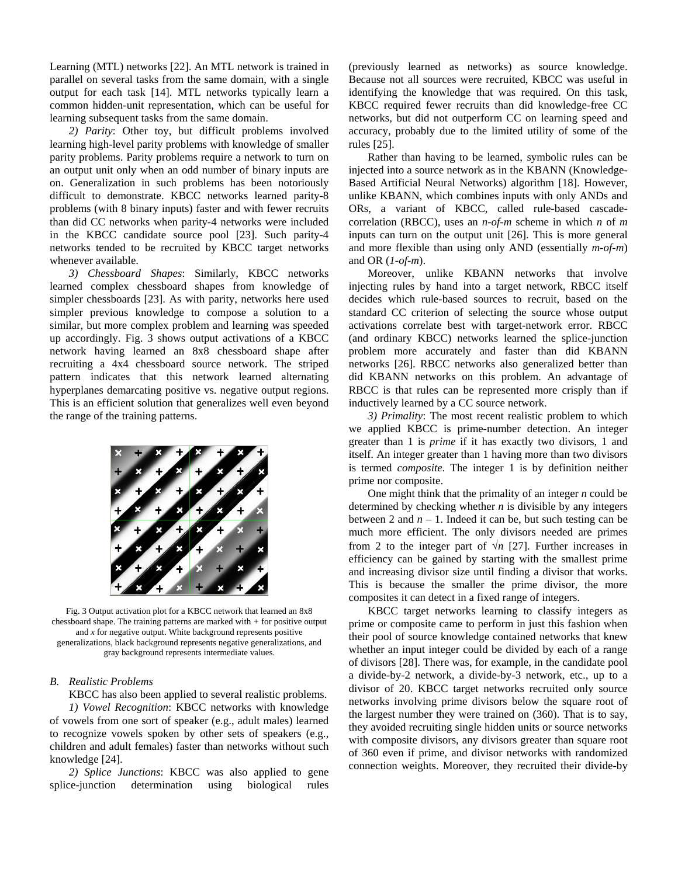Learning (MTL) networks [22]. An MTL network is trained in parallel on several tasks from the same domain, with a single output for each task [14]. MTL networks typically learn a common hidden-unit representation, which can be useful for learning subsequent tasks from the same domain.

*2) Parity*: Other toy, but difficult problems involved learning high-level parity problems with knowledge of smaller parity problems. Parity problems require a network to turn on an output unit only when an odd number of binary inputs are on. Generalization in such problems has been notoriously difficult to demonstrate. KBCC networks learned parity-8 problems (with 8 binary inputs) faster and with fewer recruits than did CC networks when parity-4 networks were included in the KBCC candidate source pool [23]. Such parity-4 networks tended to be recruited by KBCC target networks whenever available.

*3) Chessboard Shapes*: Similarly, KBCC networks learned complex chessboard shapes from knowledge of simpler chessboards [23]. As with parity, networks here used simpler previous knowledge to compose a solution to a similar, but more complex problem and learning was speeded up accordingly. Fig. 3 shows output activations of a KBCC network having learned an 8x8 chessboard shape after recruiting a 4x4 chessboard source network. The striped pattern indicates that this network learned alternating hyperplanes demarcating positive vs. negative output regions. This is an efficient solution that generalizes well even beyond the range of the training patterns.



Fig. 3 Output activation plot for a KBCC network that learned an 8x8 chessboard shape. The training patterns are marked with *+* for positive output and *x* for negative output. White background represents positive generalizations, black background represents negative generalizations, and gray background represents intermediate values.

## *B. Realistic Problems*

KBCC has also been applied to several realistic problems. *1) Vowel Recognition*: KBCC networks with knowledge of vowels from one sort of speaker (e.g., adult males) learned to recognize vowels spoken by other sets of speakers (e.g., children and adult females) faster than networks without such knowledge [24].

*2) Splice Junctions*: KBCC was also applied to gene splice-junction determination using biological rules

(previously learned as networks) as source knowledge. Because not all sources were recruited, KBCC was useful in identifying the knowledge that was required. On this task, KBCC required fewer recruits than did knowledge-free CC networks, but did not outperform CC on learning speed and accuracy, probably due to the limited utility of some of the rules [25].

Rather than having to be learned, symbolic rules can be injected into a source network as in the KBANN (Knowledge-Based Artificial Neural Networks) algorithm [18]. However, unlike KBANN, which combines inputs with only ANDs and ORs, a variant of KBCC, called rule-based cascadecorrelation (RBCC), uses an *n-of-m* scheme in which *n* of *m* inputs can turn on the output unit [26]. This is more general and more flexible than using only AND (essentially *m-of-m*) and OR (*1-of-m*).

Moreover, unlike KBANN networks that involve injecting rules by hand into a target network, RBCC itself decides which rule-based sources to recruit, based on the standard CC criterion of selecting the source whose output activations correlate best with target-network error. RBCC (and ordinary KBCC) networks learned the splice-junction problem more accurately and faster than did KBANN networks [26]. RBCC networks also generalized better than did KBANN networks on this problem. An advantage of RBCC is that rules can be represented more crisply than if inductively learned by a CC source network.

*3) Primality*: The most recent realistic problem to which we applied KBCC is prime-number detection. An integer greater than 1 is *prime* if it has exactly two divisors, 1 and itself. An integer greater than 1 having more than two divisors is termed *composite*. The integer 1 is by definition neither prime nor composite.

One might think that the primality of an integer *n* could be determined by checking whether *n* is divisible by any integers between 2 and  $n - 1$ . Indeed it can be, but such testing can be much more efficient. The only divisors needed are primes from 2 to the integer part of  $\sqrt{n}$  [27]. Further increases in efficiency can be gained by starting with the smallest prime and increasing divisor size until finding a divisor that works. This is because the smaller the prime divisor, the more composites it can detect in a fixed range of integers.

KBCC target networks learning to classify integers as prime or composite came to perform in just this fashion when their pool of source knowledge contained networks that knew whether an input integer could be divided by each of a range of divisors [28]. There was, for example, in the candidate pool a divide-by-2 network, a divide-by-3 network, etc., up to a divisor of 20. KBCC target networks recruited only source networks involving prime divisors below the square root of the largest number they were trained on (360). That is to say, they avoided recruiting single hidden units or source networks with composite divisors, any divisors greater than square root of 360 even if prime, and divisor networks with randomized connection weights. Moreover, they recruited their divide-by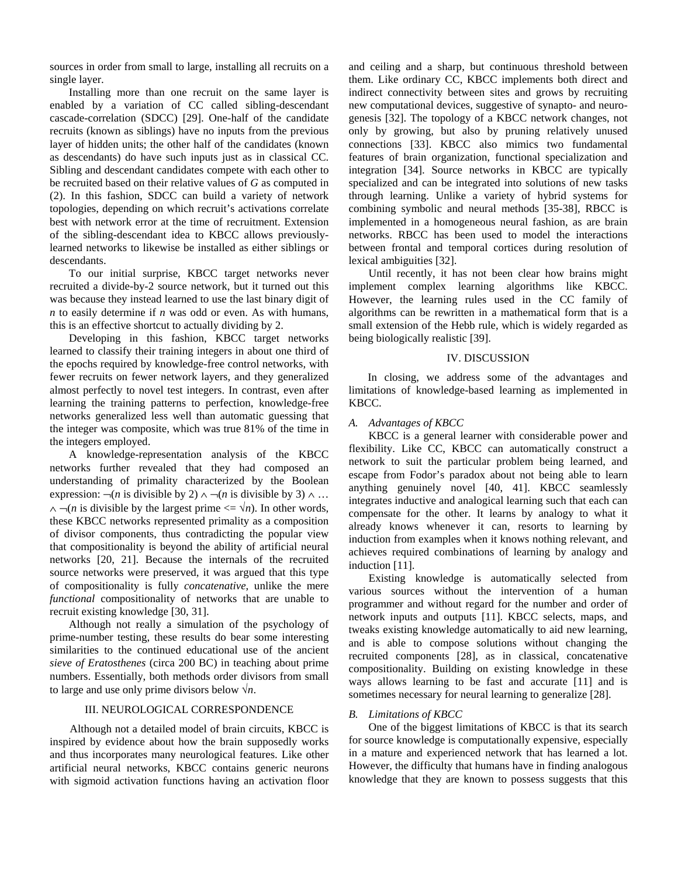sources in order from small to large, installing all recruits on a single layer.

Installing more than one recruit on the same layer is enabled by a variation of CC called sibling-descendant cascade-correlation (SDCC) [29]. One-half of the candidate recruits (known as siblings) have no inputs from the previous layer of hidden units; the other half of the candidates (known as descendants) do have such inputs just as in classical CC. Sibling and descendant candidates compete with each other to be recruited based on their relative values of *G* as computed in (2). In this fashion, SDCC can build a variety of network topologies, depending on which recruit's activations correlate best with network error at the time of recruitment. Extension of the sibling-descendant idea to KBCC allows previouslylearned networks to likewise be installed as either siblings or descendants.

To our initial surprise, KBCC target networks never recruited a divide-by-2 source network, but it turned out this was because they instead learned to use the last binary digit of *n* to easily determine if *n* was odd or even. As with humans, this is an effective shortcut to actually dividing by 2.

Developing in this fashion, KBCC target networks learned to classify their training integers in about one third of the epochs required by knowledge-free control networks, with fewer recruits on fewer network layers, and they generalized almost perfectly to novel test integers. In contrast, even after learning the training patterns to perfection, knowledge-free networks generalized less well than automatic guessing that the integer was composite, which was true 81% of the time in the integers employed.

A knowledge-representation analysis of the KBCC networks further revealed that they had composed an understanding of primality characterized by the Boolean expression:  $\neg(n$  is divisible by 2)  $\land \neg(n$  is divisible by 3)  $\land \dots$  $\land \neg(n$  is divisible by the largest prime  $\lt = \lor n$ ). In other words, these KBCC networks represented primality as a composition of divisor components, thus contradicting the popular view that compositionality is beyond the ability of artificial neural networks [20, 21]. Because the internals of the recruited source networks were preserved, it was argued that this type of compositionality is fully *concatenative*, unlike the mere *functional* compositionality of networks that are unable to recruit existing knowledge [30, 31].

Although not really a simulation of the psychology of prime-number testing, these results do bear some interesting similarities to the continued educational use of the ancient *sieve of Eratosthenes* (circa 200 BC) in teaching about prime numbers. Essentially, both methods order divisors from small to large and use only prime divisors below  $\sqrt{n}$ .

## III. NEUROLOGICAL CORRESPONDENCE

 Although not a detailed model of brain circuits, KBCC is inspired by evidence about how the brain supposedly works and thus incorporates many neurological features. Like other artificial neural networks, KBCC contains generic neurons with sigmoid activation functions having an activation floor and ceiling and a sharp, but continuous threshold between them. Like ordinary CC, KBCC implements both direct and indirect connectivity between sites and grows by recruiting new computational devices, suggestive of synapto- and neurogenesis [32]. The topology of a KBCC network changes, not only by growing, but also by pruning relatively unused connections [33]. KBCC also mimics two fundamental features of brain organization, functional specialization and integration [34]. Source networks in KBCC are typically specialized and can be integrated into solutions of new tasks through learning. Unlike a variety of hybrid systems for combining symbolic and neural methods [35-38], RBCC is implemented in a homogeneous neural fashion, as are brain networks. RBCC has been used to model the interactions between frontal and temporal cortices during resolution of lexical ambiguities [32].

 Until recently, it has not been clear how brains might implement complex learning algorithms like KBCC. However, the learning rules used in the CC family of algorithms can be rewritten in a mathematical form that is a small extension of the Hebb rule, which is widely regarded as being biologically realistic [39].

## IV. DISCUSSION

 In closing, we address some of the advantages and limitations of knowledge-based learning as implemented in KBCC.

## *A. Advantages of KBCC*

 KBCC is a general learner with considerable power and flexibility. Like CC, KBCC can automatically construct a network to suit the particular problem being learned, and escape from Fodor's paradox about not being able to learn anything genuinely novel [40, 41]. KBCC seamlessly integrates inductive and analogical learning such that each can compensate for the other. It learns by analogy to what it already knows whenever it can, resorts to learning by induction from examples when it knows nothing relevant, and achieves required combinations of learning by analogy and induction [11].

 Existing knowledge is automatically selected from various sources without the intervention of a human programmer and without regard for the number and order of network inputs and outputs [11]. KBCC selects, maps, and tweaks existing knowledge automatically to aid new learning, and is able to compose solutions without changing the recruited components [28], as in classical, concatenative compositionality. Building on existing knowledge in these ways allows learning to be fast and accurate [11] and is sometimes necessary for neural learning to generalize [28].

## *B. Limitations of KBCC*

 One of the biggest limitations of KBCC is that its search for source knowledge is computationally expensive, especially in a mature and experienced network that has learned a lot. However, the difficulty that humans have in finding analogous knowledge that they are known to possess suggests that this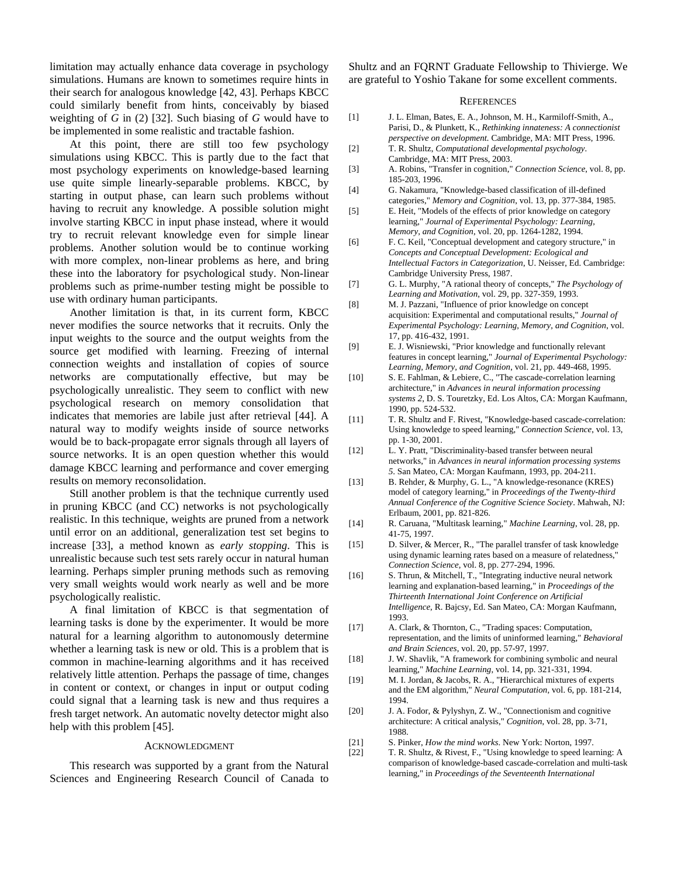limitation may actually enhance data coverage in psychology simulations. Humans are known to sometimes require hints in their search for analogous knowledge [42, 43]. Perhaps KBCC could similarly benefit from hints, conceivably by biased weighting of *G* in (2) [32]. Such biasing of *G* would have to be implemented in some realistic and tractable fashion.

 At this point, there are still too few psychology simulations using KBCC. This is partly due to the fact that most psychology experiments on knowledge-based learning use quite simple linearly-separable problems. KBCC, by starting in output phase, can learn such problems without having to recruit any knowledge. A possible solution might involve starting KBCC in input phase instead, where it would try to recruit relevant knowledge even for simple linear problems. Another solution would be to continue working with more complex, non-linear problems as here, and bring these into the laboratory for psychological study. Non-linear problems such as prime-number testing might be possible to use with ordinary human participants.

 Another limitation is that, in its current form, KBCC never modifies the source networks that it recruits. Only the input weights to the source and the output weights from the source get modified with learning. Freezing of internal connection weights and installation of copies of source networks are computationally effective, but may be psychologically unrealistic. They seem to conflict with new psychological research on memory consolidation that indicates that memories are labile just after retrieval [44]. A natural way to modify weights inside of source networks would be to back-propagate error signals through all layers of source networks. It is an open question whether this would damage KBCC learning and performance and cover emerging results on memory reconsolidation.

 Still another problem is that the technique currently used in pruning KBCC (and CC) networks is not psychologically realistic. In this technique, weights are pruned from a network until error on an additional, generalization test set begins to increase [33], a method known as *early stopping*. This is unrealistic because such test sets rarely occur in natural human learning. Perhaps simpler pruning methods such as removing very small weights would work nearly as well and be more psychologically realistic.

 A final limitation of KBCC is that segmentation of learning tasks is done by the experimenter. It would be more natural for a learning algorithm to autonomously determine whether a learning task is new or old. This is a problem that is common in machine-learning algorithms and it has received relatively little attention. Perhaps the passage of time, changes in content or context, or changes in input or output coding could signal that a learning task is new and thus requires a fresh target network. An automatic novelty detector might also help with this problem [45].

#### ACKNOWLEDGMENT

 This research was supported by a grant from the Natural Sciences and Engineering Research Council of Canada to Shultz and an FQRNT Graduate Fellowship to Thivierge. We are grateful to Yoshio Takane for some excellent comments.

#### **REFERENCES**

- [1] J. L. Elman, Bates, E. A., Johnson, M. H., Karmiloff-Smith, A., Parisi, D., & Plunkett, K., *Rethinking innateness: A connectionist perspective on development.* Cambridge, MA: MIT Press, 1996.
- [2] T. R. Shultz, *Computational developmental psychology*. Cambridge, MA: MIT Press, 2003.
- [3] A. Robins, "Transfer in cognition," *Connection Science*, vol. 8, pp. 185-203, 1996.
- [4] G. Nakamura, "Knowledge-based classification of ill-defined categories," *Memory and Cognition*, vol. 13, pp. 377-384, 1985.
- [5] E. Heit, "Models of the effects of prior knowledge on category learning," *Journal of Experimental Psychology: Learning, Memory, and Cognition*, vol. 20, pp. 1264-1282, 1994.
- [6] F. C. Keil, "Conceptual development and category structure," in *Concepts and Conceptual Development: Ecological and Intellectual Factors in Categorization*, U. Neisser, Ed. Cambridge: Cambridge University Press, 1987.
- [7] G. L. Murphy, "A rational theory of concepts," *The Psychology of Learning and Motivation*, vol. 29, pp. 327-359, 1993.
- [8] M. J. Pazzani, "Influence of prior knowledge on concept acquisition: Experimental and computational results," *Journal of Experimental Psychology: Learning, Memory, and Cognition*, vol. 17, pp. 416-432, 1991.
- [9] E. J. Wisniewski, "Prior knowledge and functionally relevant features in concept learning," *Journal of Experimental Psychology: Learning, Memory, and Cognition*, vol. 21, pp. 449-468, 1995.
- [10] S. E. Fahlman, & Lebiere, C., "The cascade-correlation learning architecture," in *Advances in neural information processing systems 2*, D. S. Touretzky, Ed. Los Altos, CA: Morgan Kaufmann, 1990, pp. 524-532.
- [11] T. R. Shultz and F. Rivest, "Knowledge-based cascade-correlation: Using knowledge to speed learning," *Connection Science*, vol. 13, pp. 1-30, 2001.
- [12] L. Y. Pratt, "Discriminality-based transfer between neural networks," in *Advances in neural information processing systems 5*. San Mateo, CA: Morgan Kaufmann, 1993, pp. 204-211.
- [13] B. Rehder, & Murphy, G. L., "A knowledge-resonance (KRES) model of category learning," in *Proceedings of the Twenty-third Annual Conference of the Cognitive Science Society*. Mahwah, NJ: Erlbaum, 2001, pp. 821-826.
- [14] R. Caruana, "Multitask learning," *Machine Learning*, vol. 28, pp. 41-75, 1997.
- [15] D. Silver, & Mercer, R., "The parallel transfer of task knowledge using dynamic learning rates based on a measure of relatedness," *Connection Science*, vol. 8, pp. 277-294, 1996.
- [16] S. Thrun, & Mitchell, T., "Integrating inductive neural network learning and explanation-based learning," in *Proceedings of the Thirteenth International Joint Conference on Artificial Intelligence*, R. Bajcsy, Ed. San Mateo, CA: Morgan Kaufmann, 1993.
- [17] A. Clark, & Thornton, C., "Trading spaces: Computation, representation, and the limits of uninformed learning," *Behavioral and Brain Sciences*, vol. 20, pp. 57-97, 1997.
- [18] J. W. Shavlik, "A framework for combining symbolic and neural learning," *Machine Learning*, vol. 14, pp. 321-331, 1994.
- [19] M. I. Jordan, & Jacobs, R. A., "Hierarchical mixtures of experts and the EM algorithm," *Neural Computation*, vol. 6, pp. 181-214, 1994.
- [20] J. A. Fodor, & Pylyshyn, Z. W., "Connectionism and cognitive architecture: A critical analysis," *Cognition*, vol. 28, pp. 3-71, 1988.
- [21] S. Pinker, *How the mind works*. New York: Norton, 1997.
- [22] T. R. Shultz, & Rivest, F., "Using knowledge to speed learning: A comparison of knowledge-based cascade-correlation and multi-task learning," in *Proceedings of the Seventeenth International*